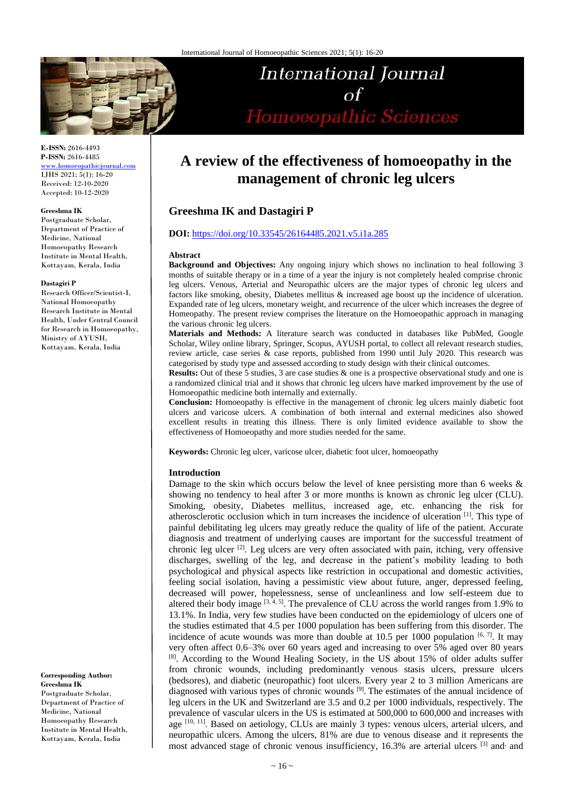

# International Journal  $\alpha f$ Homoeopathic Sciences

**E-ISSN:** 2616-4493 **P-ISSN:** 2616-4485 [www.homoeopathicjournal.com](file://///Server/test/homoeopathicjournal/issue/vol%204/issue%201/www.homoeopathicjournal.com)

IJHS 2021; 5(1): 16-20 Received: 12-10-2020 Accepted: 10-12-2020

#### **Greeshma IK**

Postgraduate Scholar, Department of Practice of Medicine, National Homoeopathy Research Institute in Mental Health, Kottayam, Kerala, India

#### **Dastagiri P**

Research Officer/Scientist-I, National Homoeopathy Research Institute in Mental Health, Under Central Council for Research in Homoeopathy, Ministry of AYUSH, Kottayam, Kerala, India

**Corresponding Author: Greeshma IK** Postgraduate Scholar, Department of Practice of Medicine, National Homoeopathy Research Institute in Mental Health, Kottayam, Kerala, India

# **A review of the effectiveness of homoeopathy in the management of chronic leg ulcers**

# **Greeshma IK and Dastagiri P**

#### **DOI:** <https://doi.org/10.33545/26164485.2021.v5.i1a.285>

#### **Abstract**

**Background and Objectives:** Any ongoing injury which shows no inclination to heal following 3 months of suitable therapy or in a time of a year the injury is not completely healed comprise chronic leg ulcers. Venous, Arterial and Neuropathic ulcers are the major types of chronic leg ulcers and factors like smoking, obesity, Diabetes mellitus & increased age boost up the incidence of ulceration. Expanded rate of leg ulcers, monetary weight, and recurrence of the ulcer which increases the degree of Homeopathy. The present review comprises the literature on the Homoeopathic approach in managing the various chronic leg ulcers.

**Materials and Methods:** A literature search was conducted in databases like PubMed, Google Scholar, Wiley online library, Springer, Scopus, AYUSH portal, to collect all relevant research studies, review article, case series & case reports, published from 1990 until July 2020. This research was categorised by study type and assessed according to study design with their clinical outcomes.

**Results:** Out of these 5 studies, 3 are case studies & one is a prospective observational study and one is a randomized clinical trial and it shows that chronic leg ulcers have marked improvement by the use of Homoeopathic medicine both internally and externally.

**Conclusion:** Homoeopathy is effective in the management of chronic leg ulcers mainly diabetic foot ulcers and varicose ulcers. A combination of both internal and external medicines also showed excellent results in treating this illness. There is only limited evidence available to show the effectiveness of Homoeopathy and more studies needed for the same.

Keywords: Chronic leg ulcer, varicose ulcer, diabetic foot ulcer, homoeopathy

#### **Introduction**

Damage to the skin which occurs below the level of knee persisting more than 6 weeks & showing no tendency to heal after 3 or more months is known as chronic leg ulcer (CLU). Smoking, obesity, Diabetes mellitus, increased age, etc. enhancing the risk for atherosclerotic occlusion which in turn increases the incidence of ulceration [1]. This type of painful debilitating leg ulcers may greatly reduce the quality of life of the patient. Accurate diagnosis and treatment of underlying causes are important for the successful treatment of chronic leg ulcer  $[2]$ . Leg ulcers are very often associated with pain, itching, very offensive discharges, swelling of the leg, and decrease in the patient's mobility leading to both psychological and physical aspects like restriction in occupational and domestic activities, feeling social isolation, having a pessimistic view about future, anger, depressed feeling, decreased will power, hopelessness, sense of uncleanliness and low self-esteem due to altered their body image  $[3, 4, 5]$ . The prevalence of CLU across the world ranges from 1.9% to 13.1%. In India, very few studies have been conducted on the epidemiology of ulcers one of the studies estimated that 4.5 per 1000 population has been suffering from this disorder. The incidence of acute wounds was more than double at 10.5 per 1000 population  $[6, 7]$ . It may very often affect 0.6–3% over 60 years aged and increasing to over 5% aged over 80 years [8]. According to the Wound Healing Society, in the US about 15% of older adults suffer from chronic wounds, including predominantly venous stasis ulcers, pressure ulcers (bedsores), and diabetic (neuropathic) foot ulcers. Every year 2 to 3 million Americans are diagnosed with various types of chronic wounds <sup>[9]</sup>. The estimates of the annual incidence of leg ulcers in the UK and Switzerland are 3.5 and 0.2 per 1000 individuals, respectively. The prevalence of vascular ulcers in the US is estimated at 500,000 to 600,000 and increases with age [10, 11]. Based on aetiology, CLUs are mainly 3 types: venous ulcers, arterial ulcers, and neuropathic ulcers. Among the ulcers, 81% are due to venous disease and it represents the most advanced stage of chronic venous insufficiency, 16.3% are arterial ulcers <sup>[3]</sup> and and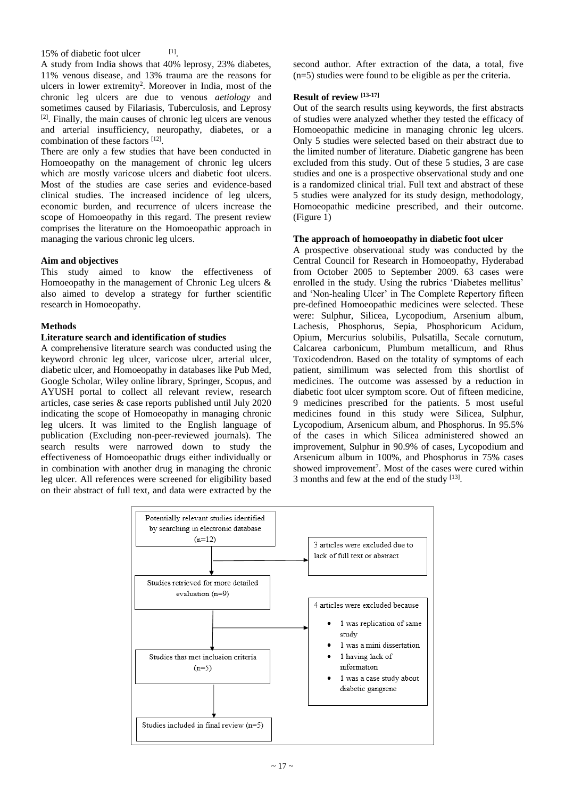15% of diabetic foot ulcer

 $[1] % \centering \includegraphics[width=0.9\columnwidth]{figures/fig_10.pdf} \caption{The graph $\mathcal{N}_1$ is a function of the number of~\textit{N}_1$ (left) and the number of~\textit{N}_2$ (right) and the number of~\textit{N}_1$ (right) are shown in Fig.~\ref{fig:10}. } \label{fig:11}$ 

A study from India shows that 40% leprosy, 23% diabetes, 11% venous disease, and 13% trauma are the reasons for ulcers in lower extremity<sup>2</sup>. Moreover in India, most of the chronic leg ulcers are due to venous *aetiology* and sometimes caused by Filariasis, Tuberculosis, and Leprosy [2] . Finally, the main causes of chronic leg ulcers are venous and arterial insufficiency, neuropathy, diabetes, or a combination of these factors [12].

There are only a few studies that have been conducted in Homoeopathy on the management of chronic leg ulcers which are mostly varicose ulcers and diabetic foot ulcers. Most of the studies are case series and evidence-based clinical studies. The increased incidence of leg ulcers, economic burden, and recurrence of ulcers increase the scope of Homoeopathy in this regard. The present review comprises the literature on the Homoeopathic approach in managing the various chronic leg ulcers.

### **Aim and objectives**

This study aimed to know the effectiveness of Homoeopathy in the management of Chronic Leg ulcers & also aimed to develop a strategy for further scientific research in Homoeopathy.

### **Methods**

#### **Literature search and identification of studies**

A comprehensive literature search was conducted using the keyword chronic leg ulcer, varicose ulcer, arterial ulcer, diabetic ulcer, and Homoeopathy in databases like Pub Med, Google Scholar, Wiley online library, Springer, Scopus, and AYUSH portal to collect all relevant review, research articles, case series & case reports published until July 2020 indicating the scope of Homoeopathy in managing chronic leg ulcers. It was limited to the English language of publication (Excluding non-peer-reviewed journals). The search results were narrowed down to study the effectiveness of Homoeopathic drugs either individually or in combination with another drug in managing the chronic leg ulcer. All references were screened for eligibility based on their abstract of full text, and data were extracted by the second author. After extraction of the data, a total, five (n=5) studies were found to be eligible as per the criteria.

## **Result of review [13-17]**

Out of the search results using keywords, the first abstracts of studies were analyzed whether they tested the efficacy of Homoeopathic medicine in managing chronic leg ulcers. Only 5 studies were selected based on their abstract due to the limited number of literature. Diabetic gangrene has been excluded from this study. Out of these 5 studies, 3 are case studies and one is a prospective observational study and one is a randomized clinical trial. Full text and abstract of these 5 studies were analyzed for its study design, methodology, Homoeopathic medicine prescribed, and their outcome. (Figure 1)

#### **The approach of homoeopathy in diabetic foot ulcer**

A prospective observational study was conducted by the Central Council for Research in Homoeopathy, Hyderabad from October 2005 to September 2009. 63 cases were enrolled in the study. Using the rubrics 'Diabetes mellitus' and 'Non-healing Ulcer' in The Complete Repertory fifteen pre-defined Homoeopathic medicines were selected. These were: Sulphur, Silicea, Lycopodium, Arsenium album, Lachesis, Phosphorus, Sepia, Phosphoricum Acidum, Opium, Mercurius solubilis, Pulsatilla, Secale cornutum, Calcarea carbonicum, Plumbum metallicum, and Rhus Toxicodendron. Based on the totality of symptoms of each patient, similimum was selected from this shortlist of medicines. The outcome was assessed by a reduction in diabetic foot ulcer symptom score. Out of fifteen medicine, 9 medicines prescribed for the patients. 5 most useful medicines found in this study were Silicea, Sulphur, Lycopodium, Arsenicum album, and Phosphorus. In 95.5% of the cases in which Silicea administered showed an improvement, Sulphur in 90.9% of cases, Lycopodium and Arsenicum album in 100%, and Phosphorus in 75% cases showed improvement<sup>7</sup>. Most of the cases were cured within 3 months and few at the end of the study [13].

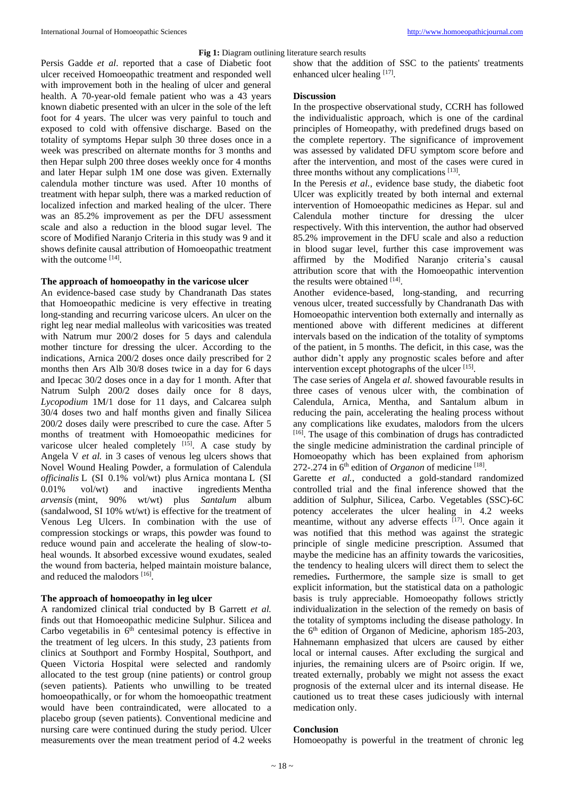#### **Fig 1:** Diagram outlining literature search results

Persis Gadde *et al*. reported that a case of Diabetic foot ulcer received Homoeopathic treatment and responded well with improvement both in the healing of ulcer and general health. A 70-year-old female patient who was a 43 years known diabetic presented with an ulcer in the sole of the left foot for 4 years. The ulcer was very painful to touch and exposed to cold with offensive discharge. Based on the totality of symptoms Hepar sulph 30 three doses once in a week was prescribed on alternate months for 3 months and then Hepar sulph 200 three doses weekly once for 4 months and later Hepar sulph 1M one dose was given. Externally calendula mother tincture was used. After 10 months of treatment with hepar sulph, there was a marked reduction of localized infection and marked healing of the ulcer. There was an 85.2% improvement as per the DFU assessment scale and also a reduction in the blood sugar level. The score of Modified Naranjo Criteria in this study was 9 and it shows definite causal attribution of Homoeopathic treatment with the outcome [14].

#### **The approach of homoeopathy in the varicose ulcer**

An evidence-based case study by Chandranath Das states that Homoeopathic medicine is very effective in treating long-standing and recurring varicose ulcers. An ulcer on the right leg near medial malleolus with varicosities was treated with Natrum mur 200/2 doses for 5 days and calendula mother tincture for dressing the ulcer. According to the indications, Arnica 200/2 doses once daily prescribed for 2 months then Ars Alb 30/8 doses twice in a day for 6 days and Ipecac 30/2 doses once in a day for 1 month. After that Natrum Sulph 200/2 doses daily once for 8 days, *Lycopodium* 1M/1 dose for 11 days, and Calcarea sulph 30/4 doses two and half months given and finally Silicea 200/2 doses daily were prescribed to cure the case. After 5 months of treatment with Homoeopathic medicines for varicose ulcer healed completely  $[15]$ . A case study by Angela V *et al.* in 3 cases of venous leg ulcers shows that Novel Wound Healing Powder, a formulation of Calendula *officinalis* L (SI 0.1% vol/wt) plus Arnica montana L (SI 0.01% vol/wt) and inactive ingredients Mentha *arvensis* (mint, 90% wt/wt) plus *Santalum* album (sandalwood, SI 10% wt/wt) is effective for the treatment of Venous Leg Ulcers. In combination with the use of compression stockings or wraps, this powder was found to reduce wound pain and accelerate the healing of slow-toheal wounds. It absorbed excessive wound exudates, sealed the wound from bacteria, helped maintain moisture balance, and reduced the malodors [16].

## **The approach of homoeopathy in leg ulcer**

A randomized clinical trial conducted by B Garrett *et al.* finds out that Homoeopathic medicine Sulphur. Silicea and Carbo vegetabilis in  $6<sup>th</sup>$  centesimal potency is effective in the treatment of leg ulcers. In this study, 23 patients from clinics at Southport and Formby Hospital, Southport, and Queen Victoria Hospital were selected and randomly allocated to the test group (nine patients) or control group (seven patients). Patients who unwilling to be treated homoeopathically, or for whom the homoeopathic treatment would have been contraindicated, were allocated to a placebo group (seven patients). Conventional medicine and nursing care were continued during the study period. Ulcer measurements over the mean treatment period of 4.2 weeks

show that the addition of SSC to the patients' treatments enhanced ulcer healing [17].

#### **Discussion**

In the prospective observational study, CCRH has followed the individualistic approach, which is one of the cardinal principles of Homeopathy, with predefined drugs based on the complete repertory. The significance of improvement was assessed by validated DFU symptom score before and after the intervention, and most of the cases were cured in three months without any complications  $[13]$ .

In the Peresis *et al.*, evidence base study, the diabetic foot Ulcer was explicitly treated by both internal and external intervention of Homoeopathic medicines as Hepar. sul and Calendula mother tincture for dressing the ulcer respectively. With this intervention, the author had observed 85.2% improvement in the DFU scale and also a reduction in blood sugar level, further this case improvement was affirmed by the Modified Naranjo criteria's causal attribution score that with the Homoeopathic intervention the results were obtained [14].

Another evidence-based, long-standing, and recurring venous ulcer, treated successfully by Chandranath Das with Homoeopathic intervention both externally and internally as mentioned above with different medicines at different intervals based on the indication of the totality of symptoms of the patient, in 5 months. The deficit, in this case, was the author didn't apply any prognostic scales before and after intervention except photographs of the ulcer  $[15]$ .

The case series of Angela *et al.* showed favourable results in three cases of venous ulcer with, the combination of Calendula, Arnica, Mentha, and Santalum album in reducing the pain, accelerating the healing process without any complications like exudates, malodors from the ulcers [16]. The usage of this combination of drugs has contradicted the single medicine administration the cardinal principle of Homoeopathy which has been explained from aphorism 272-.274 in  $6<sup>th</sup>$  edition of *Organon* of medicine  $^{[18]}$ .

Garette *et al.*, conducted a gold-standard randomized controlled trial and the final inference showed that the addition of Sulphur, Silicea, Carbo. Vegetables (SSC)-6C potency accelerates the ulcer healing in 4.2 weeks meantime, without any adverse effects [17]. Once again it was notified that this method was against the strategic principle of single medicine prescription. Assumed that maybe the medicine has an affinity towards the varicosities, the tendency to healing ulcers will direct them to select the remedies**.** Furthermore, the sample size is small to get explicit information, but the statistical data on a pathologic basis is truly appreciable. Homoeopathy follows strictly individualization in the selection of the remedy on basis of the totality of symptoms including the disease pathology. In the  $6<sup>th</sup>$  edition of Organon of Medicine, aphorism 185-203, Hahnemann emphasized that ulcers are caused by either local or internal causes. After excluding the surgical and injuries, the remaining ulcers are of Psoirc origin. If we, treated externally, probably we might not assess the exact prognosis of the external ulcer and its internal disease. He cautioned us to treat these cases judiciously with internal medication only.

#### **Conclusion**

Homoeopathy is powerful in the treatment of chronic leg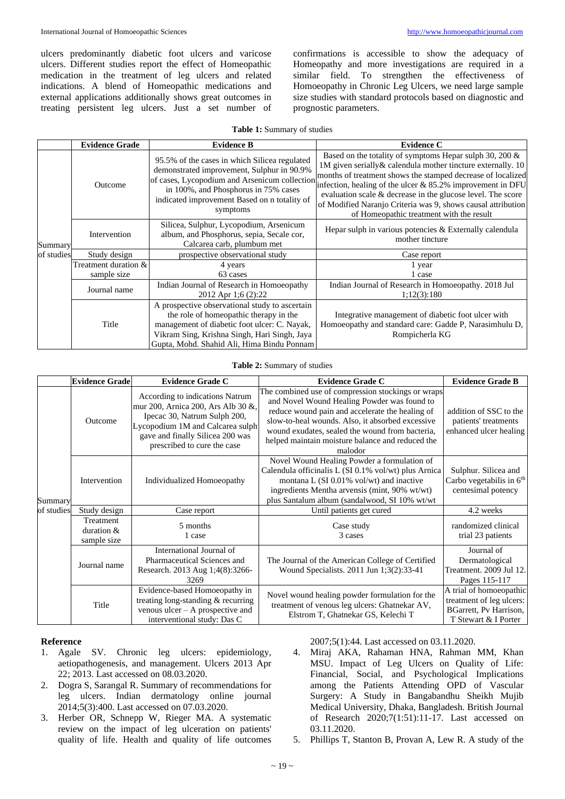ulcers predominantly diabetic foot ulcers and varicose ulcers. Different studies report the effect of Homeopathic medication in the treatment of leg ulcers and related indications. A blend of Homeopathic medications and external applications additionally shows great outcomes in treating persistent leg ulcers. Just a set number of

confirmations is accessible to show the adequacy of Homeopathy and more investigations are required in a similar field. To strengthen the effectiveness of Homoeopathy in Chronic Leg Ulcers, we need large sample size studies with standard protocols based on diagnostic and prognostic parameters.

|  |  | Table 1: Summary of studies |  |  |
|--|--|-----------------------------|--|--|
|--|--|-----------------------------|--|--|

|                       | <b>Evidence Grade</b>               | <b>Evidence B</b>                                                                                                                                                                                                                                | <b>Evidence C</b>                                                                                                                                                                                                                                                                                                                                                                                                                        |  |
|-----------------------|-------------------------------------|--------------------------------------------------------------------------------------------------------------------------------------------------------------------------------------------------------------------------------------------------|------------------------------------------------------------------------------------------------------------------------------------------------------------------------------------------------------------------------------------------------------------------------------------------------------------------------------------------------------------------------------------------------------------------------------------------|--|
| Summary<br>of studies | Outcome                             | 95.5% of the cases in which Silicea regulated<br>demonstrated improvement, Sulphur in 90.9%<br>of cases, Lycopodium and Arsenicum collection<br>in 100%, and Phosphorus in 75% cases<br>indicated improvement Based on n totality of<br>symptoms | Based on the totality of symptoms Hepar sulph 30, 200 $\&$<br>1M given serially & calendula mother tincture externally. 10<br>months of treatment shows the stamped decrease of localized<br>infection, healing of the ulcer $& 85.2\%$ improvement in DFU<br>evaluation scale $\&$ decrease in the glucose level. The score<br>of Modified Naranjo Criteria was 9, shows causal attribution<br>of Homeopathic treatment with the result |  |
|                       | Intervention                        | Silicea, Sulphur, Lycopodium, Arsenicum<br>album, and Phosphorus, sepia, Secale cor,<br>Calcarea carb, plumbum met                                                                                                                               | Hepar sulph in various potencies & Externally calendula<br>mother tincture                                                                                                                                                                                                                                                                                                                                                               |  |
|                       | Study design                        | prospective observational study                                                                                                                                                                                                                  | Case report                                                                                                                                                                                                                                                                                                                                                                                                                              |  |
|                       | Treatment duration &<br>sample size | 4 years<br>63 cases                                                                                                                                                                                                                              | l year<br>1 case                                                                                                                                                                                                                                                                                                                                                                                                                         |  |
|                       | Journal name                        | Indian Journal of Research in Homoeopathy<br>2012 Apr 1;6 (2):22                                                                                                                                                                                 | Indian Journal of Research in Homoeopathy. 2018 Jul<br>1:12(3):180                                                                                                                                                                                                                                                                                                                                                                       |  |
|                       | Title                               | A prospective observational study to ascertain<br>the role of homeopathic therapy in the<br>management of diabetic foot ulcer: C. Nayak,<br>Vikram Sing, Krishna Singh, Hari Singh, Jaya<br>Gupta, Mohd. Shahid Ali, Hima Bindu Ponnam           | Integrative management of diabetic foot ulcer with<br>Homoeopathy and standard care: Gadde P, Narasimhulu D,<br>Rompicherla KG                                                                                                                                                                                                                                                                                                           |  |

**Table 2:** Summary of studies

|                       | <b>Evidence Grade</b>                     | <b>Evidence Grade C</b>                                                                                                                                                                                      | <b>Evidence Grade C</b>                                                                                                                                                                                                                                                                                                    | <b>Evidence Grade B</b>                                                                               |
|-----------------------|-------------------------------------------|--------------------------------------------------------------------------------------------------------------------------------------------------------------------------------------------------------------|----------------------------------------------------------------------------------------------------------------------------------------------------------------------------------------------------------------------------------------------------------------------------------------------------------------------------|-------------------------------------------------------------------------------------------------------|
| Summary<br>of studies | Outcome                                   | According to indications Natrum<br>mur 200, Arnica 200, Ars Alb 30 &,<br>Ipecac 30, Natrum Sulph 200,<br>Lycopodium 1M and Calcarea sulph<br>gave and finally Silicea 200 was<br>prescribed to cure the case | The combined use of compression stockings or wraps<br>and Novel Wound Healing Powder was found to<br>reduce wound pain and accelerate the healing of<br>slow-to-heal wounds. Also, it absorbed excessive<br>wound exudates, sealed the wound from bacteria,<br>helped maintain moisture balance and reduced the<br>malodor | addition of SSC to the<br>patients' treatments<br>enhanced ulcer healing                              |
|                       | Intervention                              | Individualized Homoeopathy                                                                                                                                                                                   | Novel Wound Healing Powder a formulation of<br>Calendula officinalis L (SI 0.1% vol/wt) plus Arnica<br>montana L (SI $0.01\%$ vol/wt) and inactive<br>ingredients Mentha arvensis (mint, 90% wt/wt)<br>plus Santalum album (sandalwood, SI 10% wt/wt                                                                       | Sulphur. Silicea and<br>Carbo vegetabilis in $6th$<br>centesimal potency                              |
|                       | Study design                              | Case report                                                                                                                                                                                                  | Until patients get cured                                                                                                                                                                                                                                                                                                   | 4.2 weeks                                                                                             |
|                       | Treatment<br>duration $\&$<br>sample size | 5 months<br>1 case                                                                                                                                                                                           | Case study<br>3 cases                                                                                                                                                                                                                                                                                                      | randomized clinical<br>trial 23 patients                                                              |
|                       | Journal name                              | International Journal of<br>Pharmaceutical Sciences and<br>Research. 2013 Aug 1;4(8):3266-<br>3269                                                                                                           | The Journal of the American College of Certified<br>Wound Specialists. 2011 Jun 1;3(2):33-41                                                                                                                                                                                                                               | Journal of<br>Dermatological<br>Treatment. 2009 Jul 12.<br>Pages 115-117                              |
|                       | Title                                     | Evidence-based Homoeopathy in<br>treating long-standing & recurring<br>venous $ulcer - A prospective$ and<br>interventional study: Das C                                                                     | Novel wound healing powder formulation for the<br>treatment of venous leg ulcers: Ghatnekar AV,<br>Elstrom T, Ghatnekar GS, Kelechi T                                                                                                                                                                                      | A trial of homoeopathic<br>treatment of leg ulcers:<br>BGarrett, Pv Harrison,<br>T Stewart & I Porter |

#### **Reference**

- 1. Agale SV. Chronic leg ulcers: epidemiology, aetiopathogenesis, and management. Ulcers 2013 Apr 22; 2013. Last accessed on 08.03.2020.
- 2. Dogra S, Sarangal R. Summary of recommendations for leg ulcers. Indian dermatology online journal 2014;5(3):400. Last accessed on 07.03.2020.
- 3. Herber OR, Schnepp W, Rieger MA. A systematic review on the impact of leg ulceration on patients' quality of life. Health and quality of life outcomes

2007;5(1):44. Last accessed on 03.11.2020.

- 4. Miraj AKA, Rahaman HNA, Rahman MM, Khan MSU. Impact of Leg Ulcers on Quality of Life: Financial, Social, and Psychological Implications among the Patients Attending OPD of Vascular Surgery: A Study in Bangabandhu Sheikh Mujib Medical University, Dhaka, Bangladesh. British Journal of Research 2020;7(1:51):11-17. Last accessed on 03.11.2020.
- 5. Phillips T, Stanton B, Provan A, Lew R. A study of the